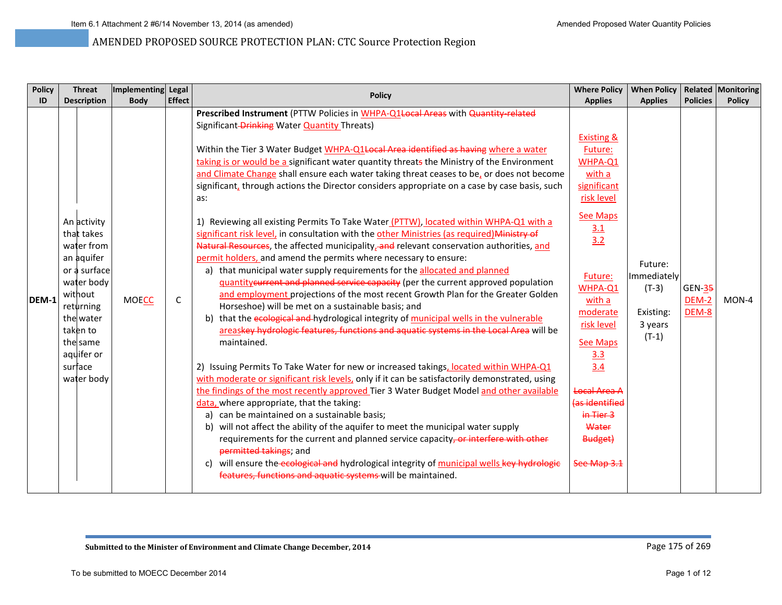| <b>Policy</b><br>ID | <b>Threat</b><br><b>Description</b>                                                                                                                                                     | Implementing Legal<br><b>Body</b> | <b>Effect</b> | <b>Policy</b>                                                                                                                                                                                                                                                                                                                                                                                                                                                                                                                                                                                                                                                                                                                                                                                                                                                                                                                                                                                                                                                                                                                                                                                                                                                                                                                                                                                                                                                                                                                                                                                                                                                                                                                                                                                                                                                                                                                                                                                                                                                                                                                                                        | <b>Where Policy</b><br><b>Applies</b>                                                                                                                                                                                                                                                                          | <b>When Policy</b><br><b>Applies</b>                                 | <b>Policies</b>                 | <b>Related Monitoring</b><br><b>Policy</b> |
|---------------------|-----------------------------------------------------------------------------------------------------------------------------------------------------------------------------------------|-----------------------------------|---------------|----------------------------------------------------------------------------------------------------------------------------------------------------------------------------------------------------------------------------------------------------------------------------------------------------------------------------------------------------------------------------------------------------------------------------------------------------------------------------------------------------------------------------------------------------------------------------------------------------------------------------------------------------------------------------------------------------------------------------------------------------------------------------------------------------------------------------------------------------------------------------------------------------------------------------------------------------------------------------------------------------------------------------------------------------------------------------------------------------------------------------------------------------------------------------------------------------------------------------------------------------------------------------------------------------------------------------------------------------------------------------------------------------------------------------------------------------------------------------------------------------------------------------------------------------------------------------------------------------------------------------------------------------------------------------------------------------------------------------------------------------------------------------------------------------------------------------------------------------------------------------------------------------------------------------------------------------------------------------------------------------------------------------------------------------------------------------------------------------------------------------------------------------------------------|----------------------------------------------------------------------------------------------------------------------------------------------------------------------------------------------------------------------------------------------------------------------------------------------------------------|----------------------------------------------------------------------|---------------------------------|--------------------------------------------|
| DEM-1               | An activity<br>that takes<br>water from<br>an aquifer<br>or a surface<br>water body<br>without<br>returning<br>the water<br>taken to<br>the same<br>aquifer or<br>surface<br>water body | <b>MOECC</b>                      | C             | Prescribed Instrument (PTTW Policies in WHPA-Q1Local Areas with Quantity-related<br>Significant-Drinking Water <b>Quantity Threats</b> )<br>Within the Tier 3 Water Budget WHPA-Q1Local Area identified as having where a water<br>taking is or would be a significant water quantity threats the Ministry of the Environment<br>and Climate Change shall ensure each water taking threat ceases to be, or does not become<br>significant, through actions the Director considers appropriate on a case by case basis, such<br>as:<br>1) Reviewing all existing Permits To Take Water (PTTW), located within WHPA-Q1 with a<br>significant risk level, in consultation with the other Ministries (as required) Ministry of<br>Natural Resources, the affected municipality, and relevant conservation authorities, and<br>permit holders, and amend the permits where necessary to ensure:<br>a) that municipal water supply requirements for the allocated and planned<br>guantity current and planned service capacity (per the current approved population<br>and employment projections of the most recent Growth Plan for the Greater Golden<br>Horseshoe) will be met on a sustainable basis; and<br>b) that the ecological and hydrological integrity of municipal wells in the vulnerable<br>areaskey hydrologic features, functions and aquatic systems in the Local Area will be<br>maintained.<br>2) Issuing Permits To Take Water for new or increased takings, located within WHPA-Q1<br>with moderate or significant risk levels, only if it can be satisfactorily demonstrated, using<br>the findings of the most recently approved Tier 3 Water Budget Model and other available<br>data, where appropriate, that the taking:<br>a) can be maintained on a sustainable basis;<br>will not affect the ability of the aquifer to meet the municipal water supply<br>b)<br>requirements for the current and planned service capacity, or interfere with other<br>permitted takings; and<br>will ensure the ecological and hydrological integrity of municipal wells key hydrologic<br>C)<br>features, functions and aquatic systems will be maintained. | <b>Existing &amp;</b><br>Future:<br>WHPA-Q1<br>with a<br>significant<br>risk level<br><b>See Maps</b><br><u>3.1</u><br>3.2<br>Future:<br>WHPA-Q1<br>with a<br>moderate<br>risk level<br><b>See Maps</b><br>3.3<br>3.4<br><b>Local Area A</b><br>(as identified<br>in Tier 3<br>Water<br>Budget)<br>See Map 3.1 | Future:<br>Immediately<br>$(T-3)$<br>Existing:<br>3 years<br>$(T-1)$ | <b>GEN-35</b><br>DEM-2<br>DEM-8 | MON-4                                      |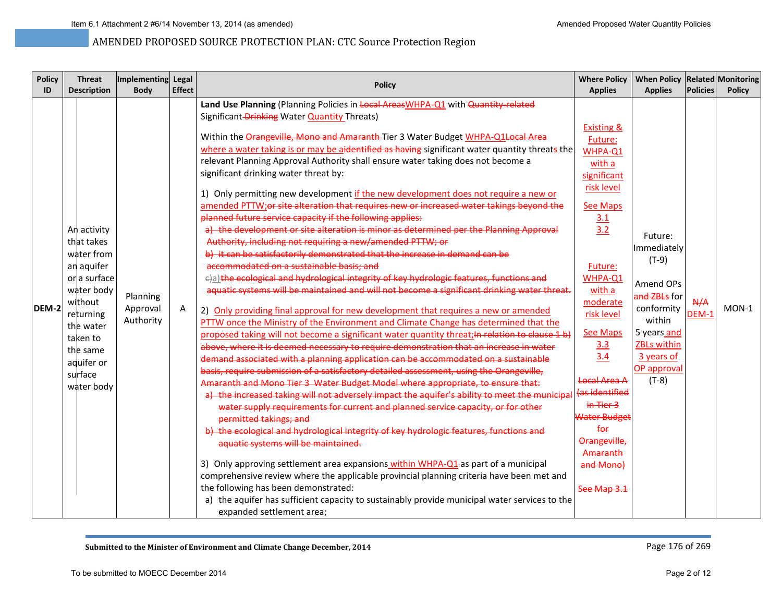| <b>Policy</b> | <b>Threat</b>                                                                                                                                                                           | Implementing Legal                |               | <b>Policy</b>                                                                                                                                                                                                                                                                                                                                                                                                                                                                                                                                                                                                                                                                                                                                                                                                                                                                                                                                                                                                                                                                                                                                                                                                                                                                                                                                                                                                                                                                                                                                                                                                                                                                                                                                                                                                                                                                                                                                                                                                                                                                                                                                                                                                                                                                                                                                                                                                                                                                                                                          | <b>Where Policy</b>                                                                                                                                                                                                                                                                                                                                 | When Policy Related Monitoring                                                                                                                                      |                 |               |
|---------------|-----------------------------------------------------------------------------------------------------------------------------------------------------------------------------------------|-----------------------------------|---------------|----------------------------------------------------------------------------------------------------------------------------------------------------------------------------------------------------------------------------------------------------------------------------------------------------------------------------------------------------------------------------------------------------------------------------------------------------------------------------------------------------------------------------------------------------------------------------------------------------------------------------------------------------------------------------------------------------------------------------------------------------------------------------------------------------------------------------------------------------------------------------------------------------------------------------------------------------------------------------------------------------------------------------------------------------------------------------------------------------------------------------------------------------------------------------------------------------------------------------------------------------------------------------------------------------------------------------------------------------------------------------------------------------------------------------------------------------------------------------------------------------------------------------------------------------------------------------------------------------------------------------------------------------------------------------------------------------------------------------------------------------------------------------------------------------------------------------------------------------------------------------------------------------------------------------------------------------------------------------------------------------------------------------------------------------------------------------------------------------------------------------------------------------------------------------------------------------------------------------------------------------------------------------------------------------------------------------------------------------------------------------------------------------------------------------------------------------------------------------------------------------------------------------------------|-----------------------------------------------------------------------------------------------------------------------------------------------------------------------------------------------------------------------------------------------------------------------------------------------------------------------------------------------------|---------------------------------------------------------------------------------------------------------------------------------------------------------------------|-----------------|---------------|
| ID            | <b>Description</b>                                                                                                                                                                      | <b>Body</b>                       | <b>Effect</b> |                                                                                                                                                                                                                                                                                                                                                                                                                                                                                                                                                                                                                                                                                                                                                                                                                                                                                                                                                                                                                                                                                                                                                                                                                                                                                                                                                                                                                                                                                                                                                                                                                                                                                                                                                                                                                                                                                                                                                                                                                                                                                                                                                                                                                                                                                                                                                                                                                                                                                                                                        | <b>Applies</b>                                                                                                                                                                                                                                                                                                                                      | <b>Applies</b>                                                                                                                                                      | <b>Policies</b> | <b>Policy</b> |
| DEM-2         | An activity<br>that takes<br>water from<br>an aquifer<br>or a surface<br>water body<br>without<br>returning<br>the water<br>taken to<br>the same<br>aquifer or<br>surface<br>water body | Planning<br>Approval<br>Authority | A             | Land Use Planning (Planning Policies in Local AreasWHPA-Q1 with Quantity-related<br>Significant-Drinking Water Quantity Threats)<br>Within the Orangeville, Mono and Amaranth Tier 3 Water Budget WHPA-Q1 Local Area<br>where a water taking is or may be aidentified as having significant water quantity threats the<br>relevant Planning Approval Authority shall ensure water taking does not become a<br>significant drinking water threat by:<br>1) Only permitting new development if the new development does not require a new or<br>amended PTTW;or site alteration that requires new or increased water takings beyond the<br>planned future service capacity if the following applies:<br>a) the development or site alteration is minor as determined per the Planning Approval<br>Authority, including not requiring a new/amended PTTW; or<br>b) it can be satisfactorily demonstrated that the increase in demand can be<br>accommodated on a sustainable basis: and<br>e)a) the ecological and hydrological integrity of key hydrologic features, functions and<br>aquatic systems will be maintained and will not become a significant drinking water threat.<br>2) Only providing final approval for new development that requires a new or amended<br>PTTW once the Ministry of the Environment and Climate Change has determined that the<br>proposed taking will not become a significant water quantity threat; In relation to clause 1 b)<br>above, where it is deemed necessary to require demonstration that an increase in water<br>demand associated with a planning application can be accommodated on a sustainable<br>basis, require submission of a satisfactory detailed assessment, using the Orangeville,<br>Amaranth and Mono Tier 3 Water Budget Model where appropriate, to ensure that:<br>a) the increased taking will not adversely impact the aquifer's ability to meet the municipal<br>water supply requirements for current and planned service capacity, or for other<br>permitted takings; and<br>b) the ecological and hydrological integrity of key hydrologic features, functions and<br>aquatic systems will be maintained.<br>3) Only approving settlement area expansions within WHPA-Q1-as part of a municipal<br>comprehensive review where the applicable provincial planning criteria have been met and<br>the following has been demonstrated:<br>a) the aquifer has sufficient capacity to sustainably provide municipal water services to the<br>expanded settlement area; | Existing &<br>Future:<br>WHPA-Q1<br>with a<br>significant<br>risk level<br><b>See Maps</b><br>3.1<br>3.2<br>Future:<br>WHPA-Q1<br>with a<br>moderate<br>risk level<br><b>See Maps</b><br>3.3<br>3.4<br><b>Local Area A</b><br>(as identified<br>in Tier 3<br>Water Budget<br>$f_{\Theta f}$<br>Orangeville,<br>Amaranth<br>and Mono)<br>See Map 3.1 | Future:<br>Immediately<br>$(T-9)$<br>Amend OPs<br>and ZBLs for<br>conformity<br>within<br>5 years and<br><b>ZBLs within</b><br>3 years of<br>OP approval<br>$(T-8)$ | A/A<br>DEM-1    | $MON-1$       |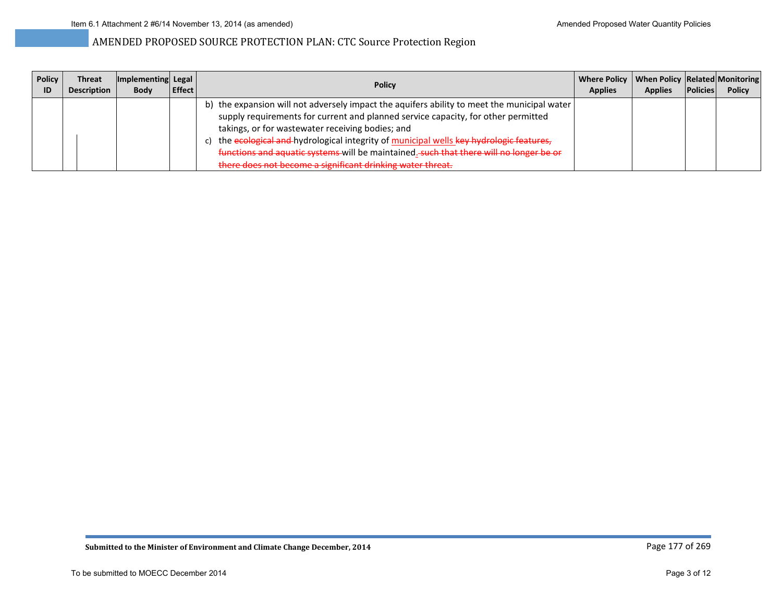| <b>Policy</b><br>ID | <b>Threat</b><br><b>Description</b> | Implementing Legal<br><b>Body</b> | Effect | Policy                                                                                                                                                                                                                                                                                                                                                                                                                                                                                   | Where Policy   When Policy   Related   Monitoring  <br><b>Applies</b> | <b>Applies</b> | <b>Policies</b> | <b>Policy</b> |
|---------------------|-------------------------------------|-----------------------------------|--------|------------------------------------------------------------------------------------------------------------------------------------------------------------------------------------------------------------------------------------------------------------------------------------------------------------------------------------------------------------------------------------------------------------------------------------------------------------------------------------------|-----------------------------------------------------------------------|----------------|-----------------|---------------|
|                     |                                     |                                   |        | b) the expansion will not adversely impact the aquifers ability to meet the municipal water<br>supply requirements for current and planned service capacity, for other permitted<br>takings, or for wastewater receiving bodies; and<br>c) the ecological and hydrological integrity of municipal wells key hydrologic features,<br>functions and aquatic systems will be maintained. such that there will no longer be or<br>there does not become a significant drinking water threat. |                                                                       |                |                 |               |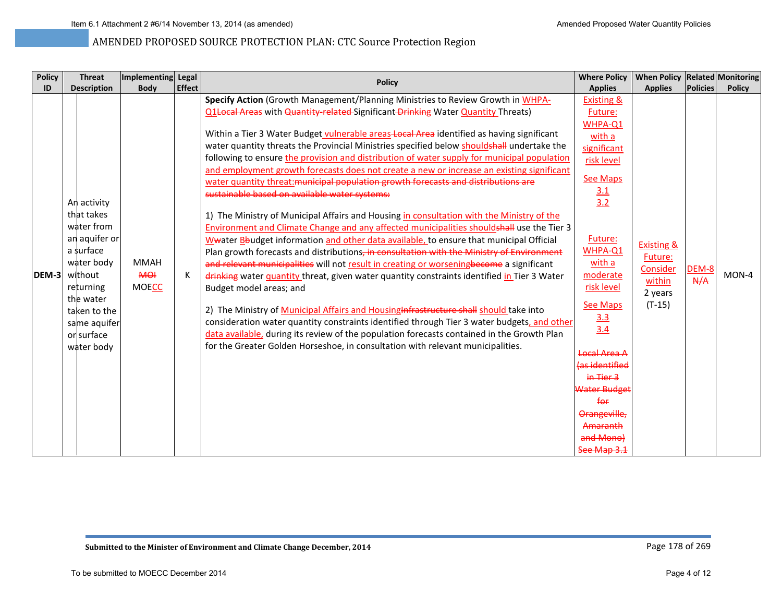| <b>Policy</b> | <b>Threat</b>                                                                                                                                                                        | Implementing Legal                 |               | <b>Policy</b>                                                                                                                                                                                                                                                                                                                                                                                                                                                                                                                                                                                                                                                                                                                                                                                                                                                                                                                                                                                                                                                                                                                                                                                                                                                                                                                                                                                                                                                                                                                                                                                                                                                                      | <b>Where Policy</b>                                                                                                                                                                                                                                                                                                                      | When Policy   Related   Monitoring                                            |                 |               |
|---------------|--------------------------------------------------------------------------------------------------------------------------------------------------------------------------------------|------------------------------------|---------------|------------------------------------------------------------------------------------------------------------------------------------------------------------------------------------------------------------------------------------------------------------------------------------------------------------------------------------------------------------------------------------------------------------------------------------------------------------------------------------------------------------------------------------------------------------------------------------------------------------------------------------------------------------------------------------------------------------------------------------------------------------------------------------------------------------------------------------------------------------------------------------------------------------------------------------------------------------------------------------------------------------------------------------------------------------------------------------------------------------------------------------------------------------------------------------------------------------------------------------------------------------------------------------------------------------------------------------------------------------------------------------------------------------------------------------------------------------------------------------------------------------------------------------------------------------------------------------------------------------------------------------------------------------------------------------|------------------------------------------------------------------------------------------------------------------------------------------------------------------------------------------------------------------------------------------------------------------------------------------------------------------------------------------|-------------------------------------------------------------------------------|-----------------|---------------|
| ID            | <b>Description</b>                                                                                                                                                                   | <b>Body</b>                        | <b>Effect</b> |                                                                                                                                                                                                                                                                                                                                                                                                                                                                                                                                                                                                                                                                                                                                                                                                                                                                                                                                                                                                                                                                                                                                                                                                                                                                                                                                                                                                                                                                                                                                                                                                                                                                                    | <b>Applies</b>                                                                                                                                                                                                                                                                                                                           | <b>Applies</b>                                                                | <b>Policies</b> | <b>Policy</b> |
| <b>IDEM-3</b> | An activity<br>that takes<br>water from<br>an aquifer or<br>a surface<br>water body<br>without<br>returning<br>the water<br>taken to the<br>same aquifer<br>or surface<br>water body | <b>MMAH</b><br>HOH<br><b>MOECC</b> | К             | Specify Action (Growth Management/Planning Ministries to Review Growth in WHPA-<br>Q1Local Areas with Quantity-related-Significant-Drinking Water Quantity Threats)<br>Within a Tier 3 Water Budget vulnerable areas Local Area identified as having significant<br>water quantity threats the Provincial Ministries specified below shouldshall undertake the<br>following to ensure the provision and distribution of water supply for municipal population<br>and employment growth forecasts does not create a new or increase an existing significant<br>water quantity threat: municipal population growth forecasts and distributions are<br>sustainable based on available water systems:<br>1) The Ministry of Municipal Affairs and Housing in consultation with the Ministry of the<br>Environment and Climate Change and any affected municipalities shouldshall use the Tier 3<br>Wwater Bbudget information and other data available, to ensure that municipal Official<br>Plan growth forecasts and distributions, in consultation with the Ministry of Environment<br>and relevant municipalities will not result in creating or worseningbecome a significant<br>drinking water quantity threat, given water quantity constraints identified in Tier 3 Water<br>Budget model areas; and<br>2) The Ministry of Municipal Affairs and Housing Infrastructure shall should take into<br>consideration water quantity constraints identified through Tier 3 water budgets, and other<br>data available, during its review of the population forecasts contained in the Growth Plan<br>for the Greater Golden Horseshoe, in consultation with relevant municipalities. | <b>Existing &amp;</b><br>Future:<br>WHPA-Q1<br>with a<br>significant<br>risk level<br><b>See Maps</b><br>$\frac{3.1}{3.2}$<br>Future:<br>WHPA-Q1<br>with a<br>moderate<br>risk level<br>See Maps<br>3.3<br>3.4<br>Local Area A<br>(as identified<br>in Tier 3<br>Water Budge<br>f <sub>or</sub><br>Orangeville,<br>Amaranth<br>and Mono) | <b>Existing &amp;</b><br>Future:<br>Consider<br>within<br>2 years<br>$(T-15)$ | DEM-8<br>N/A    | $MON-4$       |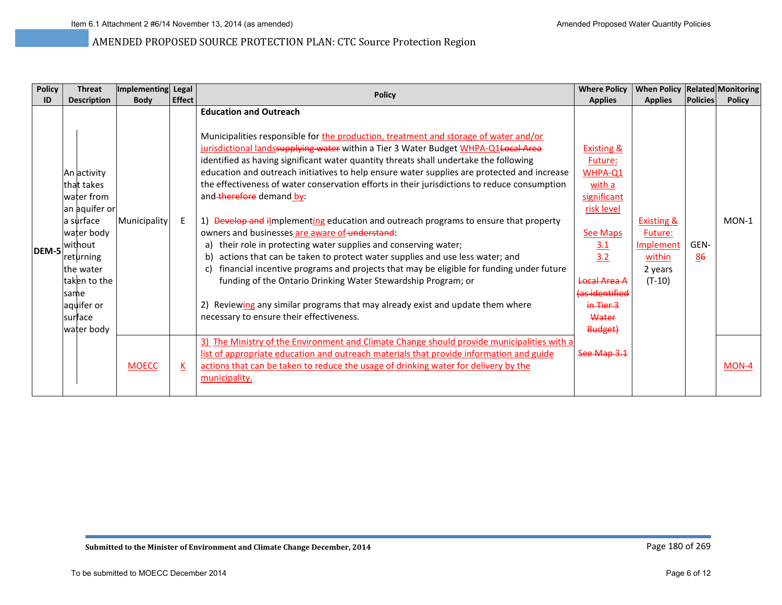| <b>Policy</b> | <b>Threat</b>                                                                                                                                                                              | Implementing Legal |                          | <b>Policy</b>                                                                                                                                                                                                                                                                                                                                                                                                                                                                                                                                                                                                                                                                                                                                                                                                                                                                                                                                                                                                                                                                                                                          | <b>Where Policy</b>                                                                                                                                                                                       | When Policy   Related   Monitoring                                                    |                 |               |
|---------------|--------------------------------------------------------------------------------------------------------------------------------------------------------------------------------------------|--------------------|--------------------------|----------------------------------------------------------------------------------------------------------------------------------------------------------------------------------------------------------------------------------------------------------------------------------------------------------------------------------------------------------------------------------------------------------------------------------------------------------------------------------------------------------------------------------------------------------------------------------------------------------------------------------------------------------------------------------------------------------------------------------------------------------------------------------------------------------------------------------------------------------------------------------------------------------------------------------------------------------------------------------------------------------------------------------------------------------------------------------------------------------------------------------------|-----------------------------------------------------------------------------------------------------------------------------------------------------------------------------------------------------------|---------------------------------------------------------------------------------------|-----------------|---------------|
| ID            | <b>Description</b>                                                                                                                                                                         | <b>Body</b>        | <b>Effect</b>            |                                                                                                                                                                                                                                                                                                                                                                                                                                                                                                                                                                                                                                                                                                                                                                                                                                                                                                                                                                                                                                                                                                                                        | <b>Applies</b>                                                                                                                                                                                            | <b>Applies</b>                                                                        | <b>Policies</b> | <b>Policy</b> |
| DEM-5         | An activity<br>lthat takes<br>water from<br>an aquifer or<br>a surface<br>water body<br>without<br>returning<br>lthe water<br>taken to the<br>same<br>aquifer or<br>Isurface<br>water body | Municipality       | E                        | <b>Education and Outreach</b><br>Municipalities responsible for the production, treatment and storage of water and/or<br>jurisdictional landssupplying water within a Tier 3 Water Budget WHPA-Q1 Local Area<br>identified as having significant water quantity threats shall undertake the following<br>education and outreach initiatives to help ensure water supplies are protected and increase<br>the effectiveness of water conservation efforts in their jurisdictions to reduce consumption<br>and therefore demand by:<br>1) Develop and ilmplementing education and outreach programs to ensure that property<br>owners and businesses are aware of understand:<br>their role in protecting water supplies and conserving water;<br>a)<br>actions that can be taken to protect water supplies and use less water; and<br>b)<br>financial incentive programs and projects that may be eligible for funding under future<br>C)<br>funding of the Ontario Drinking Water Stewardship Program; or<br>2) Reviewing any similar programs that may already exist and update them where<br>necessary to ensure their effectiveness. | <b>Existing &amp;</b><br>Future:<br>WHPA-Q1<br>with a<br>significant<br>risk level<br><b>See Maps</b><br>3.1<br>3.2<br>Local Area A<br>las identified<br><del>in Tier 3</del><br>Water<br><b>Budget</b> ) | <b>Existing &amp;</b><br>Future:<br><b>Implement</b><br>within<br>2 years<br>$(T-10)$ | GEN-<br>86      | $MON-1$       |
|               |                                                                                                                                                                                            | <b>MOECC</b>       | $\underline{\mathsf{K}}$ | The Ministry of the Environment and Climate Change should provide municipalities with a<br>3)<br>list of appropriate education and outreach materials that provide information and guide<br>actions that can be taken to reduce the usage of drinking water for delivery by the<br>municipality.                                                                                                                                                                                                                                                                                                                                                                                                                                                                                                                                                                                                                                                                                                                                                                                                                                       | See Map 3.1                                                                                                                                                                                               |                                                                                       |                 | MON-4         |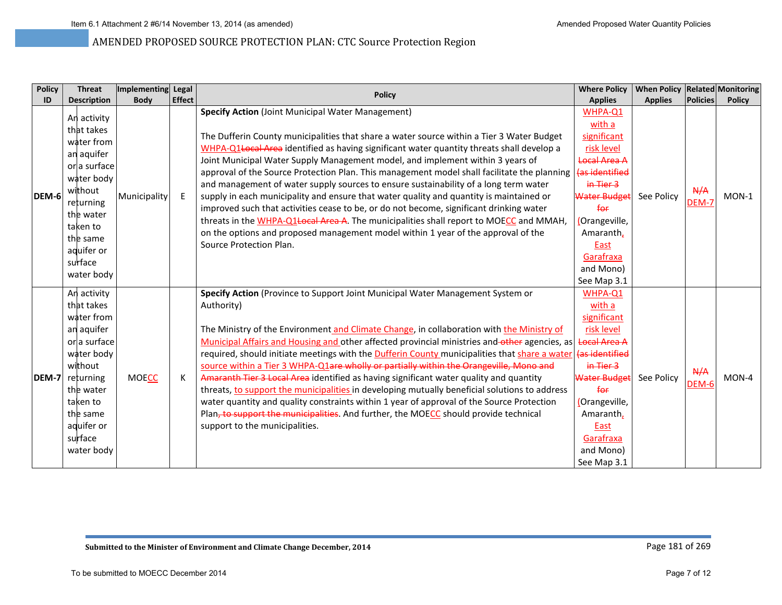| <b>Policy</b> | <b>Threat</b>                                                                                                                                                                           | Implementing Legal |               | <b>Policy</b>                                                                                                                                                                                                                                                                                                                                                                                                                                                                                                                                                                                                                                                                                                                                                                                                                                                                                                               | <b>Where Policy</b>                                                                                                                                                                                                    | When Policy Related Monitoring |                     |               |
|---------------|-----------------------------------------------------------------------------------------------------------------------------------------------------------------------------------------|--------------------|---------------|-----------------------------------------------------------------------------------------------------------------------------------------------------------------------------------------------------------------------------------------------------------------------------------------------------------------------------------------------------------------------------------------------------------------------------------------------------------------------------------------------------------------------------------------------------------------------------------------------------------------------------------------------------------------------------------------------------------------------------------------------------------------------------------------------------------------------------------------------------------------------------------------------------------------------------|------------------------------------------------------------------------------------------------------------------------------------------------------------------------------------------------------------------------|--------------------------------|---------------------|---------------|
| ID            | <b>Description</b>                                                                                                                                                                      | <b>Body</b>        | <b>Effect</b> |                                                                                                                                                                                                                                                                                                                                                                                                                                                                                                                                                                                                                                                                                                                                                                                                                                                                                                                             | <b>Applies</b>                                                                                                                                                                                                         | <b>Applies</b>                 | <b>Policies</b>     | <b>Policy</b> |
| DEM-6         | An activity<br>that takes<br>water from<br>an aquifer<br>or a surface<br>water body<br>without<br>returning<br>the water<br>taken to<br>the same<br>aquifer or<br>surface<br>water body | Municipality       | E             | <b>Specify Action (Joint Municipal Water Management)</b><br>The Dufferin County municipalities that share a water source within a Tier 3 Water Budget<br>WHPA-Q1+ocal Area identified as having significant water quantity threats shall develop a<br>Joint Municipal Water Supply Management model, and implement within 3 years of<br>approval of the Source Protection Plan. This management model shall facilitate the planning<br>and management of water supply sources to ensure sustainability of a long term water<br>supply in each municipality and ensure that water quality and quantity is maintained or<br>improved such that activities cease to be, or do not become, significant drinking water<br>threats in the WHPA-Q1Local Area A. The municipalities shall report to MOECC and MMAH,<br>on the options and proposed management model within 1 year of the approval of the<br>Source Protection Plan. | WHPA-Q1<br>with a<br>significant<br>risk level<br>Local Area A<br>(as identified<br>in Tier 3<br>Water Budge<br>f <sub>or</sub><br>(Orangeville,<br>Amaranth,<br>East<br>Garafraxa<br>and Mono)<br>See Map 3.1         | See Policy                     | A/A<br>DEM-7        | $MON-1$       |
| <b>DEM-7</b>  | An activity<br>that takes<br>water from<br>an aquifer<br>or a surface<br>water body<br>without<br>returning<br>the water<br>taken to<br>the same<br>aquifer or<br>surface<br>water body | <b>MOECC</b>       | К             | Specify Action (Province to Support Joint Municipal Water Management System or<br>Authority)<br>The Ministry of the Environment and Climate Change, in collaboration with the Ministry of<br>Municipal Affairs and Housing and other affected provincial ministries and-other agencies, as<br>required, should initiate meetings with the <b>Dufferin County</b> municipalities that share a water<br>source within a Tier 3 WHPA-Q1are wholly or partially within the Orangeville, Mono and<br>Amaranth Tier 3 Local Area identified as having significant water quality and quantity<br>threats, to support the municipalities in developing mutually beneficial solutions to address<br>water quantity and quality constraints within 1 year of approval of the Source Protection<br>Plan, to support the municipalities. And further, the MOECC should provide technical<br>support to the municipalities.              | WHPA-Q1<br>with a<br>significant<br>risk level<br><b>Local Area A</b><br>las identified<br>in Tier 3<br>Water Budget<br>f <sub>or</sub><br>(Orangeville,<br>Amaranth,<br>East<br>Garafraxa<br>and Mono)<br>See Map 3.1 | See Policy                     | A/A<br><b>DEM-6</b> | MON-4         |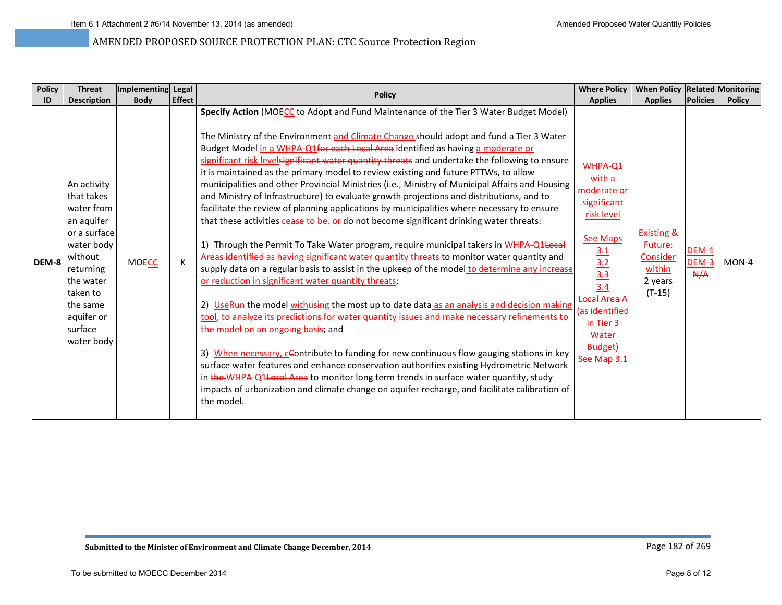| <b>Policy</b> | <b>Threat</b>                                                                                                                                                                           | Implementing Legal |               | <b>Policy</b>                                                                                                                                                                                                                                                                                                                                                                                                                                                                                                                                                                                                                                                                                                                                                                                                                                                                                                                                                                                                                                                                                                                                                                                                                                                                                                                                                                                                                                                                                                                                                                                                                                                                                                                                                                                                                             | <b>Where Policy</b>                                                                                                                                                                                   | When Policy   Related   Monitoring                                            |                       |               |
|---------------|-----------------------------------------------------------------------------------------------------------------------------------------------------------------------------------------|--------------------|---------------|-------------------------------------------------------------------------------------------------------------------------------------------------------------------------------------------------------------------------------------------------------------------------------------------------------------------------------------------------------------------------------------------------------------------------------------------------------------------------------------------------------------------------------------------------------------------------------------------------------------------------------------------------------------------------------------------------------------------------------------------------------------------------------------------------------------------------------------------------------------------------------------------------------------------------------------------------------------------------------------------------------------------------------------------------------------------------------------------------------------------------------------------------------------------------------------------------------------------------------------------------------------------------------------------------------------------------------------------------------------------------------------------------------------------------------------------------------------------------------------------------------------------------------------------------------------------------------------------------------------------------------------------------------------------------------------------------------------------------------------------------------------------------------------------------------------------------------------------|-------------------------------------------------------------------------------------------------------------------------------------------------------------------------------------------------------|-------------------------------------------------------------------------------|-----------------------|---------------|
| ID            | <b>Description</b>                                                                                                                                                                      | <b>Body</b>        | <b>Effect</b> |                                                                                                                                                                                                                                                                                                                                                                                                                                                                                                                                                                                                                                                                                                                                                                                                                                                                                                                                                                                                                                                                                                                                                                                                                                                                                                                                                                                                                                                                                                                                                                                                                                                                                                                                                                                                                                           | <b>Applies</b>                                                                                                                                                                                        | <b>Applies</b>                                                                | <b>Policies</b>       | <b>Policy</b> |
| DEM-8         | An activity<br>that takes<br>water from<br>an aquifer<br>or a surface<br>water body<br>without<br>returning<br>the water<br>taken to<br>the same<br>aquifer or<br>surface<br>water body | <b>MOECC</b>       |               | Specify Action (MOECC to Adopt and Fund Maintenance of the Tier 3 Water Budget Model)<br>The Ministry of the Environment and Climate Change should adopt and fund a Tier 3 Water<br>Budget Model in a WHPA-Q1for each Local Area identified as having a moderate or<br>significant risk levelsignificant water quantity threats and undertake the following to ensure<br>it is maintained as the primary model to review existing and future PTTWs, to allow<br>municipalities and other Provincial Ministries (i.e., Ministry of Municipal Affairs and Housing<br>and Ministry of Infrastructure) to evaluate growth projections and distributions, and to<br>facilitate the review of planning applications by municipalities where necessary to ensure<br>that these activities cease to be, or do not become significant drinking water threats:<br>1) Through the Permit To Take Water program, require municipal takers in WHPA-Q1+06aH<br>Areas identified as having significant water quantity threats to monitor water quantity and<br>supply data on a regular basis to assist in the upkeep of the model to determine any increase<br>or reduction in significant water quantity threats;<br>2) UseRun the model withusing the most up to date data as an analysis and decision making<br>tool, to analyze its predictions for water quantity issues and make necessary refinements to<br>the model on an ongoing basis; and<br>3) When necessary, cContribute to funding for new continuous flow gauging stations in key<br>surface water features and enhance conservation authorities existing Hydrometric Network<br>in the WHPA-Q1 Local Area to monitor long term trends in surface water quantity, study<br>impacts of urbanization and climate change on aquifer recharge, and facilitate calibration of<br>the model. | WHPA-Q1<br>with a<br>moderate or<br>significant<br>risk level<br>See Maps<br>$\frac{3.1}{3.2}$<br>$\frac{3.3}{3.4}$<br>Local Area A<br>as identified)<br>in Tier 3<br>Water<br>Budget)<br>See Map 3.1 | <b>Existing &amp;</b><br>Future:<br>Consider<br>within<br>2 years<br>$(T-15)$ | DEM-1<br>DEM-3<br>A/A | $MON-4$       |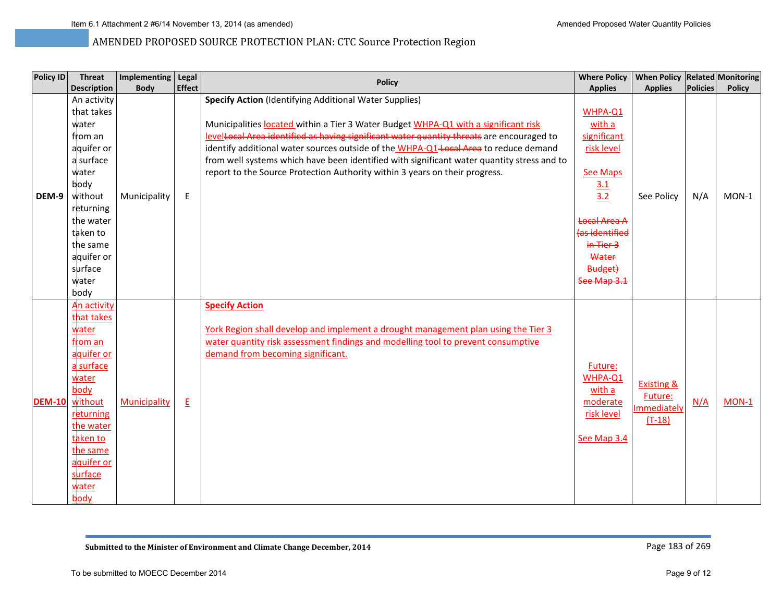| Policy ID     | <b>Threat</b>                                                                                                                                                                                    | Implementing Legal |               | <b>Policy</b>                                                                                                                                                                                                                                                                                                                                                                                                                                                                                                          | <b>Where Policy</b>                                                                                                                                                      | When Policy Related Monitoring                              |                 |               |
|---------------|--------------------------------------------------------------------------------------------------------------------------------------------------------------------------------------------------|--------------------|---------------|------------------------------------------------------------------------------------------------------------------------------------------------------------------------------------------------------------------------------------------------------------------------------------------------------------------------------------------------------------------------------------------------------------------------------------------------------------------------------------------------------------------------|--------------------------------------------------------------------------------------------------------------------------------------------------------------------------|-------------------------------------------------------------|-----------------|---------------|
|               | <b>Description</b>                                                                                                                                                                               | <b>Body</b>        | <b>Effect</b> |                                                                                                                                                                                                                                                                                                                                                                                                                                                                                                                        | <b>Applies</b>                                                                                                                                                           | <b>Applies</b>                                              | <b>Policies</b> | <b>Policy</b> |
| DEM-9         | An activity<br>that takes<br>water<br>from an<br>aquifer or<br>a surface<br>water<br>body<br>without<br>returning<br>the water<br>taken to<br>the same<br>aquifer or<br>surface<br>water<br>body | Municipality       | E             | <b>Specify Action</b> (Identifying Additional Water Supplies)<br>Municipalities located within a Tier 3 Water Budget WHPA-Q1 with a significant risk<br>levelLocal Area identified as having significant water quantity threats are encouraged to<br>identify additional water sources outside of the WHPA-Q1-Local Area to reduce demand<br>from well systems which have been identified with significant water quantity stress and to<br>report to the Source Protection Authority within 3 years on their progress. | WHPA-Q1<br>with a<br>significant<br>risk level<br><b>See Maps</b><br>3.1<br>3.2<br><b>Local Area A</b><br>(as identified<br>in Tier 3<br>Water<br>Budget)<br>See Map 3.1 | See Policy                                                  | N/A             | $MON-1$       |
| <b>DEM-10</b> | An activity<br>that takes<br>water<br>from an<br>aquifer or<br>a surface<br>water<br>body<br>without<br>returning<br>the water<br>taken to<br>the same<br>aquifer or<br>surface<br>water<br>body | Municipality       | E             | <b>Specify Action</b><br>York Region shall develop and implement a drought management plan using the Tier 3<br>water quantity risk assessment findings and modelling tool to prevent consumptive<br>demand from becoming significant.                                                                                                                                                                                                                                                                                  | Future:<br>WHPA-Q1<br>with a<br>moderate<br>risk level<br>See Map 3.4                                                                                                    | <b>Existing &amp;</b><br>Future:<br>Immediately<br>$(T-18)$ | N/A             | $MON-1$       |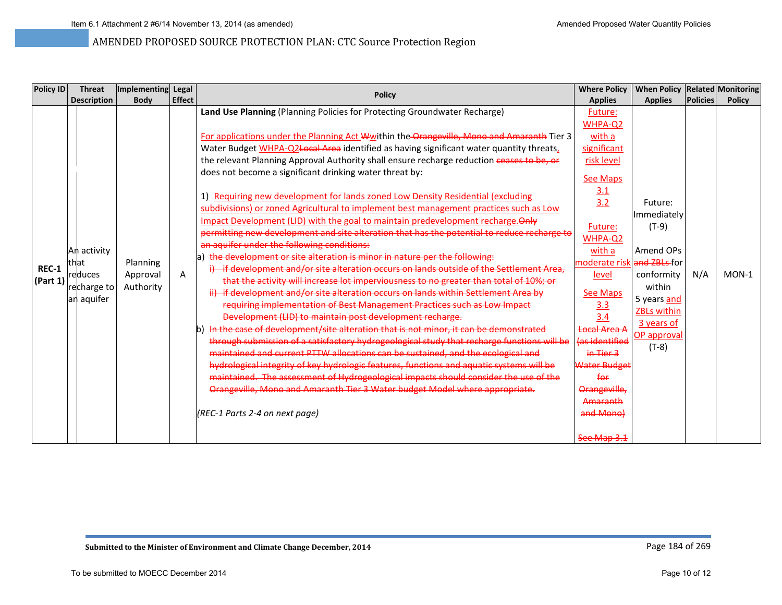| <b>Policy ID</b>             | <b>Threat</b>                                                | Implementing Legal                |               | <b>Policy</b>                                                                                                                                                                                                                                                                                                                                                                                                                                                                                                                                                                                                                                                                                                                                                                                                                                                                                                                                                                                                                                                                                                                                                                                                                                                                                                                                                                                                                                                                                                                                                                                                                                                                                                                                                                                                                                                                                                                          | <b>Where Policy</b>                                                                                                                                                                                                                                                                                                                           | When Policy Related Monitoring                                                                                                                      |                 |               |
|------------------------------|--------------------------------------------------------------|-----------------------------------|---------------|----------------------------------------------------------------------------------------------------------------------------------------------------------------------------------------------------------------------------------------------------------------------------------------------------------------------------------------------------------------------------------------------------------------------------------------------------------------------------------------------------------------------------------------------------------------------------------------------------------------------------------------------------------------------------------------------------------------------------------------------------------------------------------------------------------------------------------------------------------------------------------------------------------------------------------------------------------------------------------------------------------------------------------------------------------------------------------------------------------------------------------------------------------------------------------------------------------------------------------------------------------------------------------------------------------------------------------------------------------------------------------------------------------------------------------------------------------------------------------------------------------------------------------------------------------------------------------------------------------------------------------------------------------------------------------------------------------------------------------------------------------------------------------------------------------------------------------------------------------------------------------------------------------------------------------------|-----------------------------------------------------------------------------------------------------------------------------------------------------------------------------------------------------------------------------------------------------------------------------------------------------------------------------------------------|-----------------------------------------------------------------------------------------------------------------------------------------------------|-----------------|---------------|
|                              | <b>Description</b>                                           | <b>Body</b>                       | <b>Effect</b> |                                                                                                                                                                                                                                                                                                                                                                                                                                                                                                                                                                                                                                                                                                                                                                                                                                                                                                                                                                                                                                                                                                                                                                                                                                                                                                                                                                                                                                                                                                                                                                                                                                                                                                                                                                                                                                                                                                                                        | <b>Applies</b>                                                                                                                                                                                                                                                                                                                                | <b>Applies</b>                                                                                                                                      | <b>Policies</b> | <b>Policy</b> |
| <b>REC-1</b><br>$ $ (Part 1) | An activity<br>thlat<br>reduces<br>recharge to<br>an aquifer | Planning<br>Approval<br>Authority | A             | Land Use Planning (Planning Policies for Protecting Groundwater Recharge)<br>For applications under the Planning Act Wwithin the Orangeville, Mono and Amaranth Tier 3<br>Water Budget WHPA-Q2Local Area identified as having significant water quantity threats,<br>the relevant Planning Approval Authority shall ensure recharge reduction ceases to be, or<br>does not become a significant drinking water threat by:<br>1) Requiring new development for lands zoned Low Density Residential (excluding<br>subdivisions) or zoned Agricultural to implement best management practices such as Low<br>Impact Development (LID) with the goal to maintain predevelopment recharge. Only<br>permitting new development and site alteration that has the potential to reduce recharge to<br>an aquifer under the following conditions:<br>the development or site alteration is minor in nature per the following:<br>la)<br><del>if development and/or site alteration occurs on lands outside of the Settlement Area.</del><br>that the activity will increase lot imperviousness to no greater than total of 10%; or<br>ii) if development and/or site alteration occurs on lands within Settlement Area by<br>requiring implementation of Best Management Practices such as Low Impact<br>Development (LID) to maintain post development recharge.<br>In the case of development/site alteration that is not minor, it can be demonstrated<br>through submission of a satisfactory hydrogeological study that recharge functions will be<br>maintained and current PTTW allocations can be sustained, and the ecological and<br>hydrological integrity of key hydrologic features, functions and aquatic systems will be<br>maintained. The assessment of Hydrogeological impacts should consider the use of the<br>Orangeville, Mono and Amaranth Tier 3 Water budget Model where appropriate.<br>(REC-1 Parts 2-4 on next page) | Future:<br>WHPA-Q2<br>with a<br>significant<br>risk level<br><b>See Maps</b><br>3.1<br>3.2<br>Future:<br>WHPA-Q2<br>with a<br>moderate risk and ZBLs for<br>level<br>See Maps<br>$\frac{3.3}{3.4}$<br>Local Area A<br><del>(as identified</del><br>$in$ Tier 3<br>Water Budget<br>for<br>Orangeville,<br>Amaranth<br>and Mono)<br>See Map 3.1 | Future:<br>Immediately<br>$(T-9)$<br>Amend OPs<br>conformity<br>within<br>5 years and<br><b>ZBLs within</b><br>3 years of<br>OP approval<br>$(T-8)$ | N/A             | $MON-1$       |